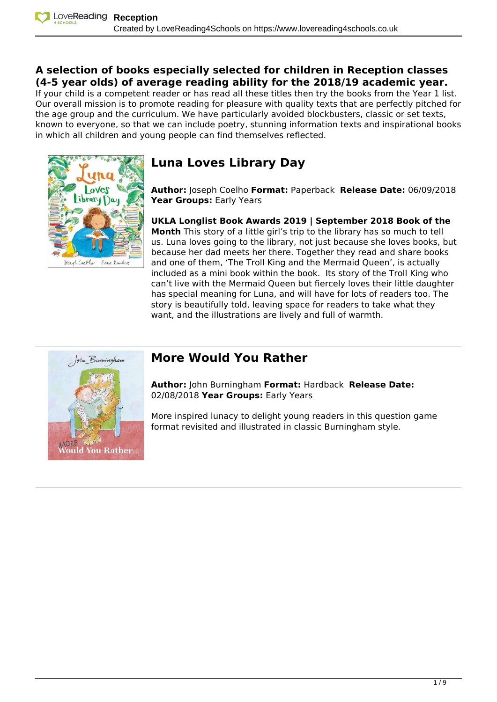### **A selection of books especially selected for children in Reception classes (4-5 year olds) of average reading ability for the 2018/19 academic year.**

If your child is a competent reader or has read all these titles then try the books from the Year 1 list. Our overall mission is to promote reading for pleasure with quality texts that are perfectly pitched for the age group and the curriculum. We have particularly avoided blockbusters, classic or set texts, known to everyone, so that we can include poetry, stunning information texts and inspirational books in which all children and young people can find themselves reflected.



# **Luna Loves Library Day**

**Author:** Joseph Coelho **Format:** Paperback **Release Date:** 06/09/2018 **Year Groups:** Early Years

**UKLA Longlist Book Awards 2019 | September 2018 Book of the Month** This story of a little girl's trip to the library has so much to tell us. Luna loves going to the library, not just because she loves books, but because her dad meets her there. Together they read and share books and one of them, 'The Troll King and the Mermaid Queen', is actually included as a mini book within the book. Its story of the Troll King who can't live with the Mermaid Queen but fiercely loves their little daughter has special meaning for Luna, and will have for lots of readers too. The story is beautifully told, leaving space for readers to take what they want, and the illustrations are lively and full of warmth.



### *More Would You Rather*

**Author:** John Burningham **Format:** Hardback **Release Date:** 02/08/2018 **Year Groups:** Early Years

More inspired lunacy to delight young readers in this question game format revisited and illustrated in classic Burningham style.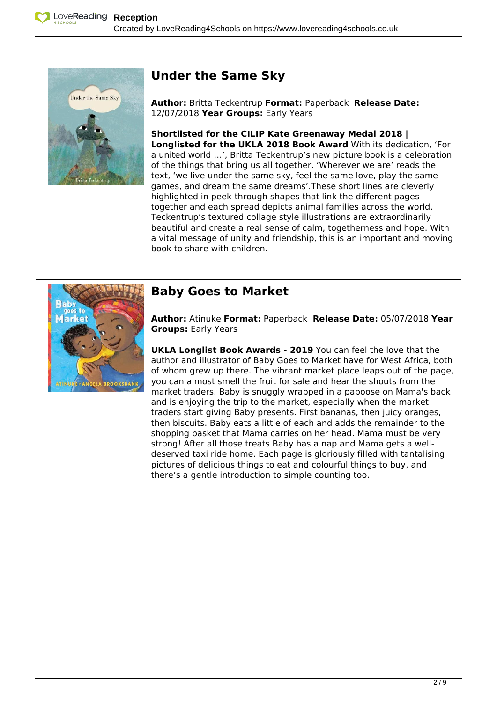

### **Under the Same Sky**

**Author:** Britta Teckentrup **Format:** Paperback **Release Date:** 12/07/2018 **Year Groups:** Early Years

**Shortlisted for the CILIP Kate Greenaway Medal 2018 | Longlisted for the UKLA 2018 Book Award** With its dedication, 'For a united world …', Britta Teckentrup's new picture book is a celebration of the things that bring us all together. 'Wherever we are' reads the text, 'we live under the same sky, feel the same love, play the same games, and dream the same dreams'.These short lines are cleverly highlighted in peek-through shapes that link the different pages together and each spread depicts animal families across the world. Teckentrup's textured collage style illustrations are extraordinarily beautiful and create a real sense of calm, togetherness and hope. With a vital message of unity and friendship, this is an important and moving book to share with children.



### **Baby Goes to Market**

**Author:** Atinuke **Format:** Paperback **Release Date:** 05/07/2018 **Year Groups:** Early Years

**UKLA Longlist Book Awards - 2019** You can feel the love that the author and illustrator of Baby Goes to Market have for West Africa, both of whom grew up there. The vibrant market place leaps out of the page, you can almost smell the fruit for sale and hear the shouts from the market traders. Baby is snuggly wrapped in a papoose on Mama's back and is enjoying the trip to the market, especially when the market traders start giving Baby presents. First bananas, then juicy oranges, then biscuits. Baby eats a little of each and adds the remainder to the shopping basket that Mama carries on her head. Mama must be very strong! After all those treats Baby has a nap and Mama gets a welldeserved taxi ride home. Each page is gloriously filled with tantalising pictures of delicious things to eat and colourful things to buy, and there's a gentle introduction to simple counting too.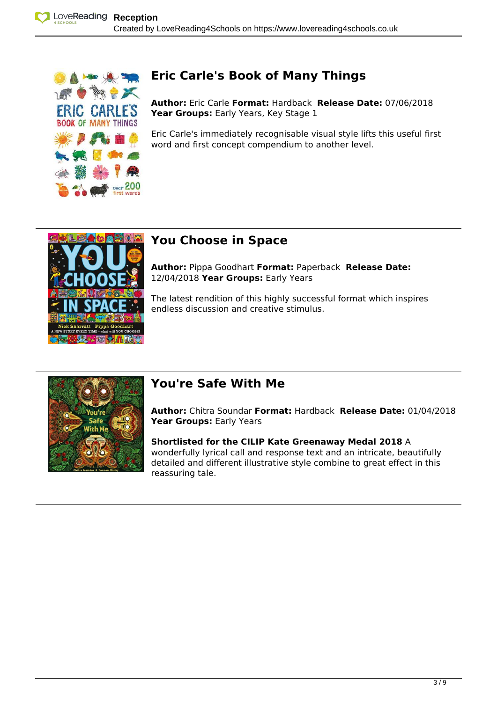

# **Eric Carle's Book of Many Things**

**Author:** Eric Carle **Format:** Hardback **Release Date:** 07/06/2018 Year Groups: Early Years, Key Stage 1

Eric Carle's immediately recognisable visual style lifts this useful first word and first concept compendium to another level.



## **You Choose in Space**

**Author:** Pippa Goodhart **Format:** Paperback **Release Date:** 12/04/2018 **Year Groups:** Early Years

The latest rendition of this highly successful format which inspires endless discussion and creative stimulus.



## **You're Safe With Me**

**Author:** Chitra Soundar **Format:** Hardback **Release Date:** 01/04/2018 **Year Groups:** Early Years

**Shortlisted for the CILIP Kate Greenaway Medal 2018** A wonderfully lyrical call and response text and an intricate, beautifully detailed and different illustrative style combine to great effect in this reassuring tale.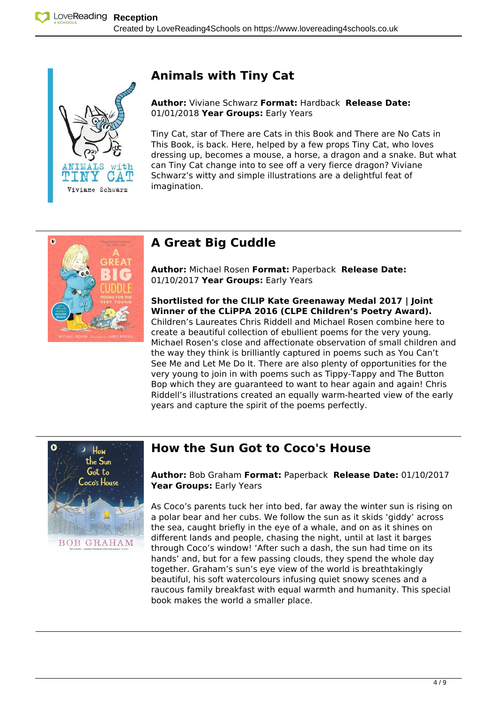

# **Animals with Tiny Cat**

### **Author:** Viviane Schwarz **Format:** Hardback **Release Date:** 01/01/2018 **Year Groups:** Early Years

Tiny Cat, star of There are Cats in this Book and There are No Cats in This Book, is back. Here, helped by a few props Tiny Cat, who loves dressing up, becomes a mouse, a horse, a dragon and a snake. But what can Tiny Cat change into to see off a very fierce dragon? Viviane Schwarz's witty and simple illustrations are a delightful feat of imagination.



# **A Great Big Cuddle**

**Author:** Michael Rosen **Format:** Paperback **Release Date:** 01/10/2017 **Year Groups:** Early Years

**Shortlisted for the CILIP Kate Greenaway Medal 2017 | Joint Winner of the CLiPPA 2016 (CLPE Children's Poetry Award).** Children's Laureates Chris Riddell and Michael Rosen combine here to create a beautiful collection of ebullient poems for the very young. Michael Rosen's close and affectionate observation of small children and the way they think is brilliantly captured in poems such as You Can't See Me and Let Me Do It. There are also plenty of opportunities for the very young to join in with poems such as Tippy-Tappy and The Button Bop which they are guaranteed to want to hear again and again! Chris Riddell's illustrations created an equally warm-hearted view of the early years and capture the spirit of the poems perfectly.



## **Example: A Bow the Sun Got to Coco's House**

**Author:** Bob Graham **Format:** Paperback **Release Date:** 01/10/2017 **Year Groups:** Early Years

As Coco's parents tuck her into bed, far away the winter sun is rising on a polar bear and her cubs. We follow the sun as it skids 'giddy' across the sea, caught briefly in the eye of a whale, and on as it shines on different lands and people, chasing the night, until at last it barges through Coco's window! 'After such a dash, the sun had time on its hands' and, but for a few passing clouds, they spend the whole day together. Graham's sun's eye view of the world is breathtakingly beautiful, his soft watercolours infusing quiet snowy scenes and a raucous family breakfast with equal warmth and humanity. This special book makes the world a smaller place.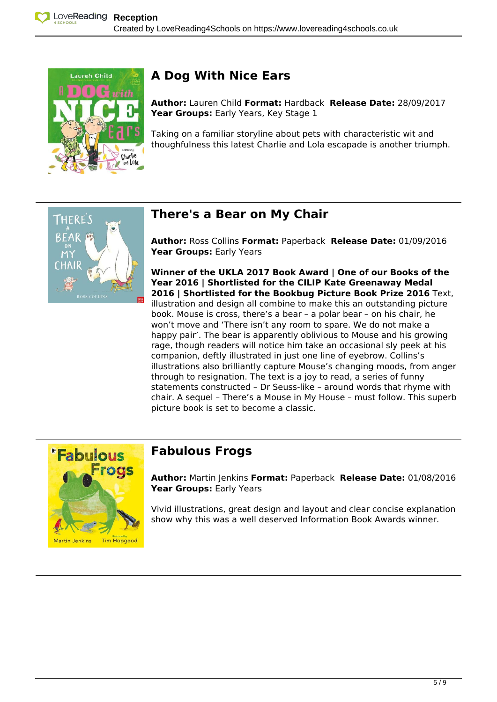

# Laureh Child **A Dog With Nice Ears**

**Author:** Lauren Child **Format:** Hardback **Release Date:** 28/09/2017 Year Groups: Early Years, Key Stage 1

Taking on a familiar storyline about pets with characteristic wit and thoughfulness this latest Charlie and Lola escapade is another triumph.



# **There's a Bear on My Chair**

**Author:** Ross Collins **Format:** Paperback **Release Date:** 01/09/2016 **Year Groups:** Early Years

**Winner of the UKLA 2017 Book Award | One of our Books of the Year 2016 | Shortlisted for the CILIP Kate Greenaway Medal 2016 | Shortlisted for the Bookbug Picture Book Prize 2016** Text, illustration and design all combine to make this an outstanding picture book. Mouse is cross, there's a bear – a polar bear – on his chair, he won't move and 'There isn't any room to spare. We do not make a happy pair'. The bear is apparently oblivious to Mouse and his growing rage, though readers will notice him take an occasional sly peek at his companion, deftly illustrated in just one line of eyebrow. Collins's illustrations also brilliantly capture Mouse's changing moods, from anger through to resignation. The text is a joy to read, a series of funny statements constructed – Dr Seuss-like – around words that rhyme with chair. A sequel – There's a Mouse in My House – must follow. This superb picture book is set to become a classic.



**Author:** Martin Jenkins **Format:** Paperback **Release Date:** 01/08/2016 **Year Groups:** Early Years

Vivid illustrations, great design and layout and clear concise explanation show why this was a well deserved Information Book Awards winner.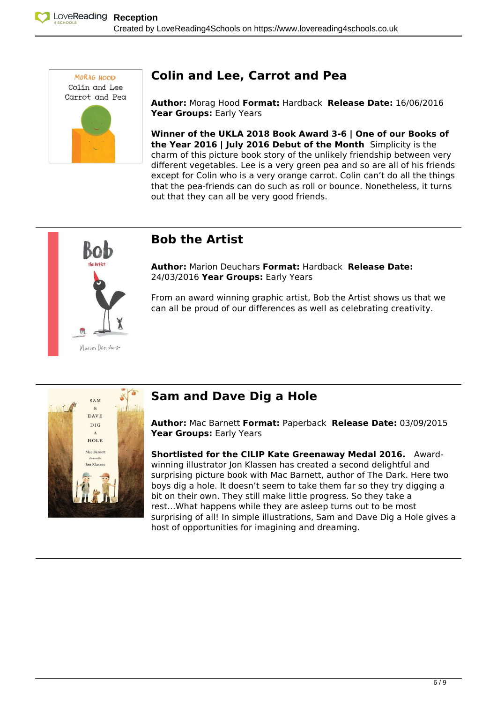

# **MORAG HOOD Colin and Lee, Carrot and Pea**

**Author:** Morag Hood **Format:** Hardback **Release Date:** 16/06/2016 **Year Groups:** Early Years

**Winner of the UKLA 2018 Book Award 3-6 | One of our Books of the Year 2016 | July 2016 Debut of the Month** Simplicity is the charm of this picture book story of the unlikely friendship between very different vegetables. Lee is a very green pea and so are all of his friends except for Colin who is a very orange carrot. Colin can't do all the things that the pea-friends can do such as roll or bounce. Nonetheless, it turns out that they can all be very good friends.



### **Bob the Artist**

**Author:** Marion Deuchars **Format:** Hardback **Release Date:** 24/03/2016 **Year Groups:** Early Years

From an award winning graphic artist, Bob the Artist shows us that we can all be proud of our differences as well as celebrating creativity.



# **SAM Sam and Dave Dig a Hole**

**Author:** Mac Barnett **Format:** Paperback **Release Date:** 03/09/2015 **Year Groups:** Early Years

**Shortlisted for the CILIP Kate Greenaway Medal 2016.** Awardwinning illustrator Jon Klassen has created a second delightful and surprising picture book with Mac Barnett, author of The Dark. Here two boys dig a hole. It doesn't seem to take them far so they try digging a bit on their own. They still make little progress. So they take a rest…What happens while they are asleep turns out to be most surprising of all! In simple illustrations, Sam and Dave Dig a Hole gives a host of opportunities for imagining and dreaming.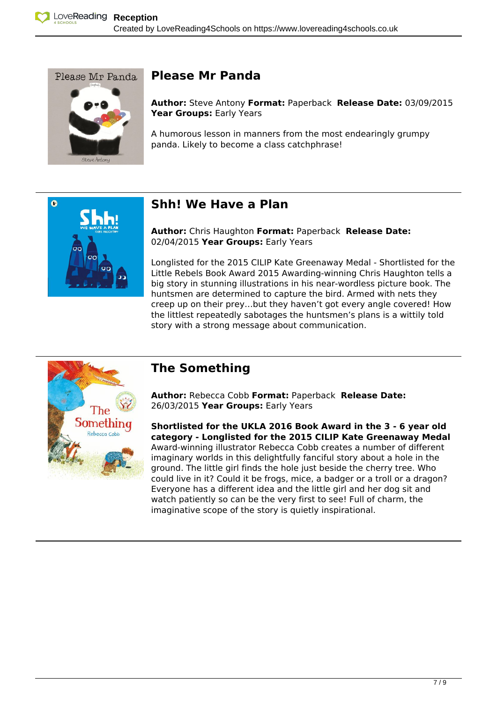

### Please Mr Panda **Please Mr Panda**

**Author:** Steve Antony **Format:** Paperback **Release Date:** 03/09/2015 **Year Groups:** Early Years

A humorous lesson in manners from the most endearingly grumpy panda. Likely to become a class catchphrase!



### **Shh! We Have a Plan**

**Author:** Chris Haughton **Format:** Paperback **Release Date:** 02/04/2015 **Year Groups:** Early Years

Longlisted for the 2015 CILIP Kate Greenaway Medal - Shortlisted for the Little Rebels Book Award 2015 Awarding-winning Chris Haughton tells a big story in stunning illustrations in his near-wordless picture book. The huntsmen are determined to capture the bird. Armed with nets they creep up on their prey…but they haven't got every angle covered! How the littlest repeatedly sabotages the huntsmen's plans is a wittily told story with a strong message about communication.



### **The Something**

**Author:** Rebecca Cobb **Format:** Paperback **Release Date:** 26/03/2015 **Year Groups:** Early Years

**Shortlisted for the UKLA 2016 Book Award in the 3 - 6 year old category - Longlisted for the 2015 CILIP Kate Greenaway Medal**  Award-winning illustrator Rebecca Cobb creates a number of different imaginary worlds in this delightfully fanciful story about a hole in the ground. The little girl finds the hole just beside the cherry tree. Who could live in it? Could it be frogs, mice, a badger or a troll or a dragon? Everyone has a different idea and the little girl and her dog sit and watch patiently so can be the very first to see! Full of charm, the imaginative scope of the story is quietly inspirational.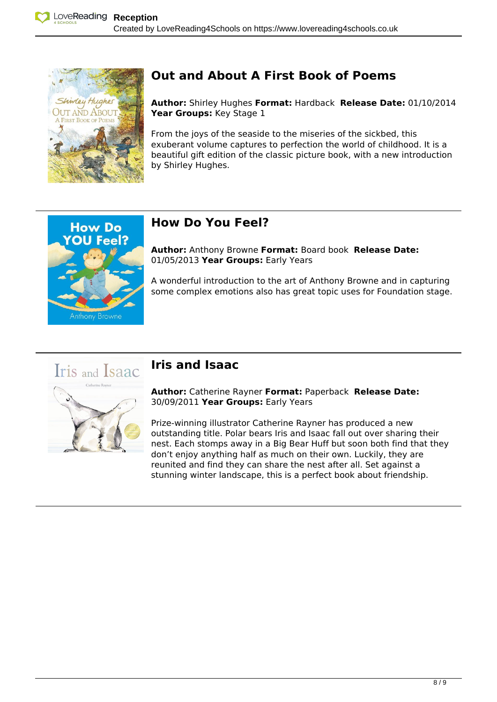

**OU Feel?** 

Anthony Browne

# **Out and About A First Book of Poems**

**Author:** Shirley Hughes **Format:** Hardback **Release Date:** 01/10/2014 **Year Groups:** Key Stage 1

From the joys of the seaside to the miseries of the sickbed, this exuberant volume captures to perfection the world of childhood. It is a beautiful gift edition of the classic picture book, with a new introduction by Shirley Hughes.

# **How Do You Feel?**

**Author:** Anthony Browne **Format:** Board book **Release Date:** 01/05/2013 **Year Groups:** Early Years

A wonderful introduction to the art of Anthony Browne and in capturing some complex emotions also has great topic uses for Foundation stage.



**Author:** Catherine Rayner **Format:** Paperback **Release Date:** 30/09/2011 **Year Groups:** Early Years

Prize-winning illustrator Catherine Rayner has produced a new outstanding title. Polar bears Iris and Isaac fall out over sharing their nest. Each stomps away in a Big Bear Huff but soon both find that they don't enjoy anything half as much on their own. Luckily, they are reunited and find they can share the nest after all. Set against a stunning winter landscape, this is a perfect book about friendship.